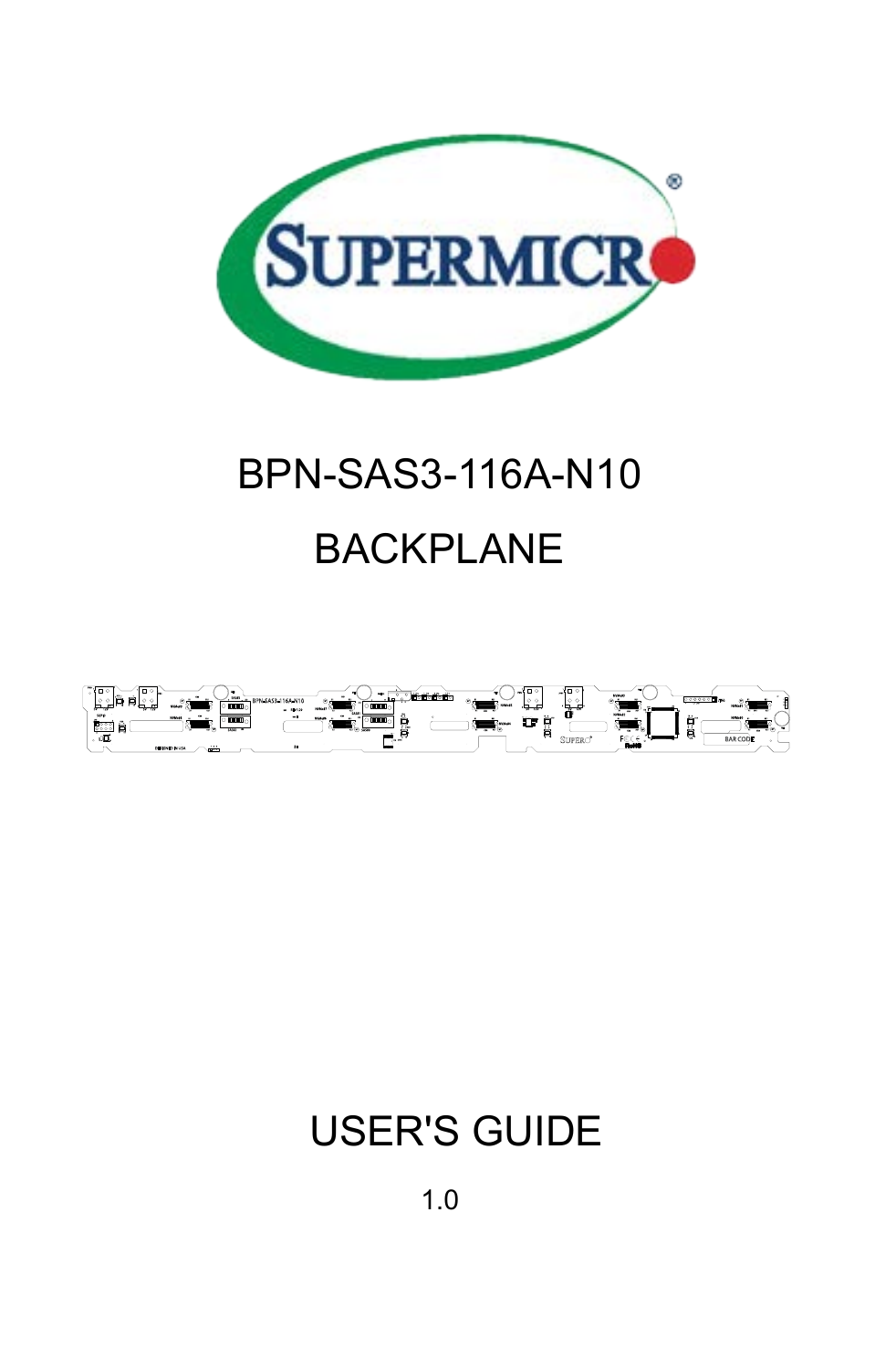

# BPN-SAS3-116A-N10 BACKPLANE



## USER'S GUIDE

1.0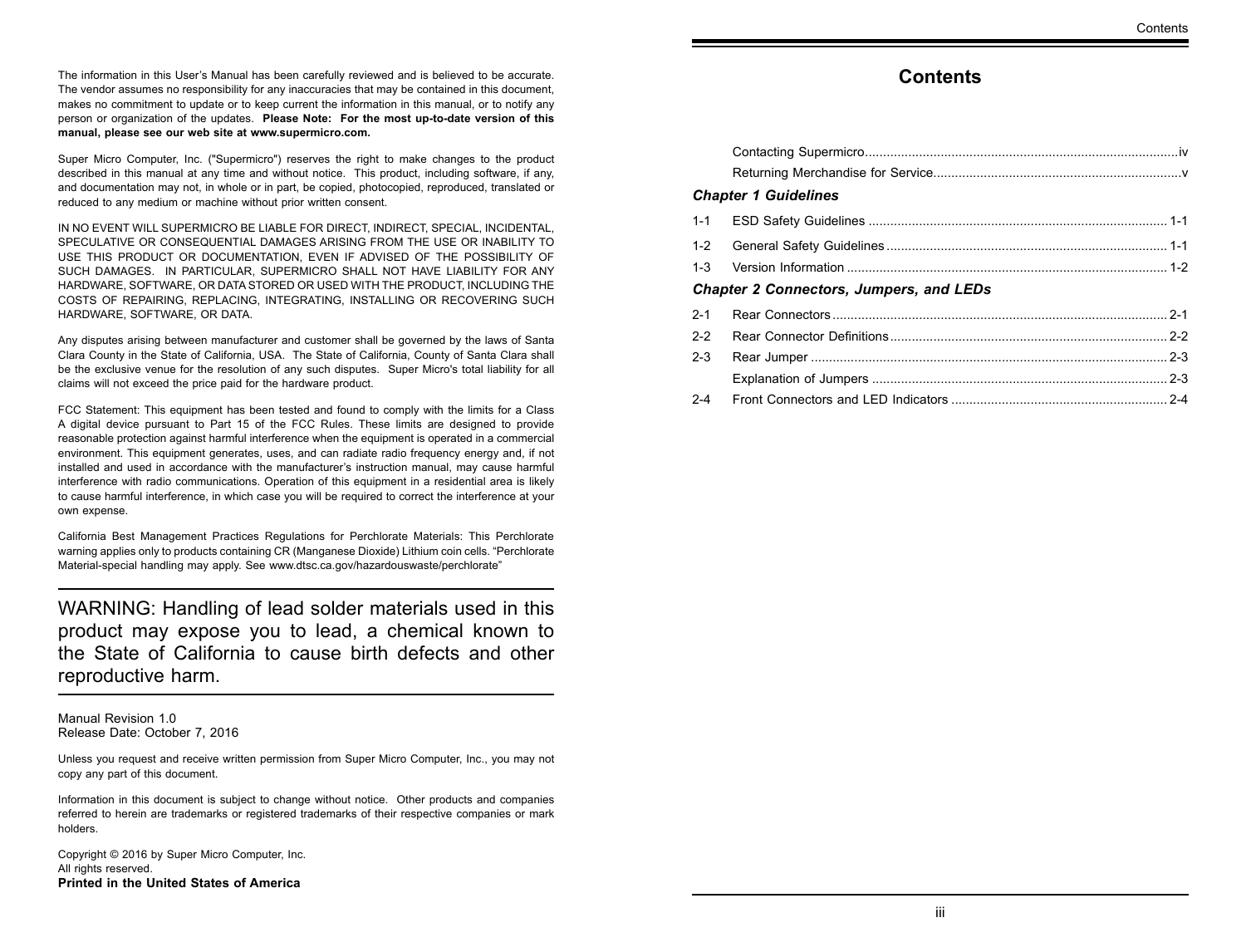The information in this User's Manual has been carefully reviewed and is believed to be accurate. The vendor assumes no responsibility for any inaccuracies that may be contained in this document, makes no commitment to update or to keep current the information in this manual, or to notify any person or organization of the updates. **Please Note: For the most up-to-date version of this manual, please see our web site at www.supermicro.com.**

Super Micro Computer, Inc. ("Supermicro") reserves the right to make changes to the product described in this manual at any time and without notice. This product, including software, if any, and documentation may not, in whole or in part, be copied, photocopied, reproduced, translated or reduced to any medium or machine without prior written consent.

IN NO EVENT WILL SUPERMICRO BE LIABLE FOR DIRECT, INDIRECT, SPECIAL, INCIDENTAL, SPECULATIVE OR CONSEQUENTIAL DAMAGES ARISING FROM THE USE OR INABILITY TO USE THIS PRODUCT OR DOCUMENTATION, EVEN IF ADVISED OF THE POSSIBILITY OF SUCH DAMAGES. IN PARTICULAR, SUPERMICRO SHALL NOT HAVE LIABILITY FOR ANY HARDWARE, SOFTWARE, OR DATA STORED OR USED WITH THE PRODUCT, INCLUDING THE COSTS OF REPAIRING, REPLACING, INTEGRATING, INSTALLING OR RECOVERING SUCH HARDWARE, SOFTWARE, OR DATA.

Any disputes arising between manufacturer and customer shall be governed by the laws of Santa Clara County in the State of California, USA. The State of California, County of Santa Clara shall be the exclusive venue for the resolution of any such disputes. Super Micro's total liability for all claims will not exceed the price paid for the hardware product.

FCC Statement: This equipment has been tested and found to comply with the limits for a Class A digital device pursuant to Part 15 of the FCC Rules. These limits are designed to provide reasonable protection against harmful interference when the equipment is operated in a commercial environment. This equipment generates, uses, and can radiate radio frequency energy and, if not installed and used in accordance with the manufacturer's instruction manual, may cause harmful interference with radio communications. Operation of this equipment in a residential area is likely to cause harmful interference, in which case you will be required to correct the interference at your own expense.

California Best Management Practices Regulations for Perchlorate Materials: This Perchlorate warning applies only to products containing CR (Manganese Dioxide) Lithium coin cells. "Perchlorate Material-special handling may apply. See www.dtsc.ca.gov/hazardouswaste/perchlorate"

WARNING: Handling of lead solder materials used in this product may expose you to lead, a chemical known to the State of California to cause birth defects and other reproductive harm.

Manual Revision 1.0 Release Date: October 7, 2016

Unless you request and receive written permission from Super Micro Computer, Inc., you may not copy any part of this document.

Information in this document is subject to change without notice. Other products and companies referred to herein are trademarks or registered trademarks of their respective companies or mark holders.

Copyright © 2016 by Super Micro Computer, Inc. All rights reserved. **Printed in the United States of America**

#### **Contents**

#### **Contents**

|         | <b>Chapter 1 Guidelines</b>                    |  |
|---------|------------------------------------------------|--|
| $1 - 1$ |                                                |  |
| $1 - 2$ |                                                |  |
| $1 - 3$ |                                                |  |
|         | <b>Chapter 2 Connectors, Jumpers, and LEDs</b> |  |
| $2 - 1$ |                                                |  |
| $2 - 2$ |                                                |  |
| $2 - 3$ |                                                |  |
|         |                                                |  |
| $2 - 4$ |                                                |  |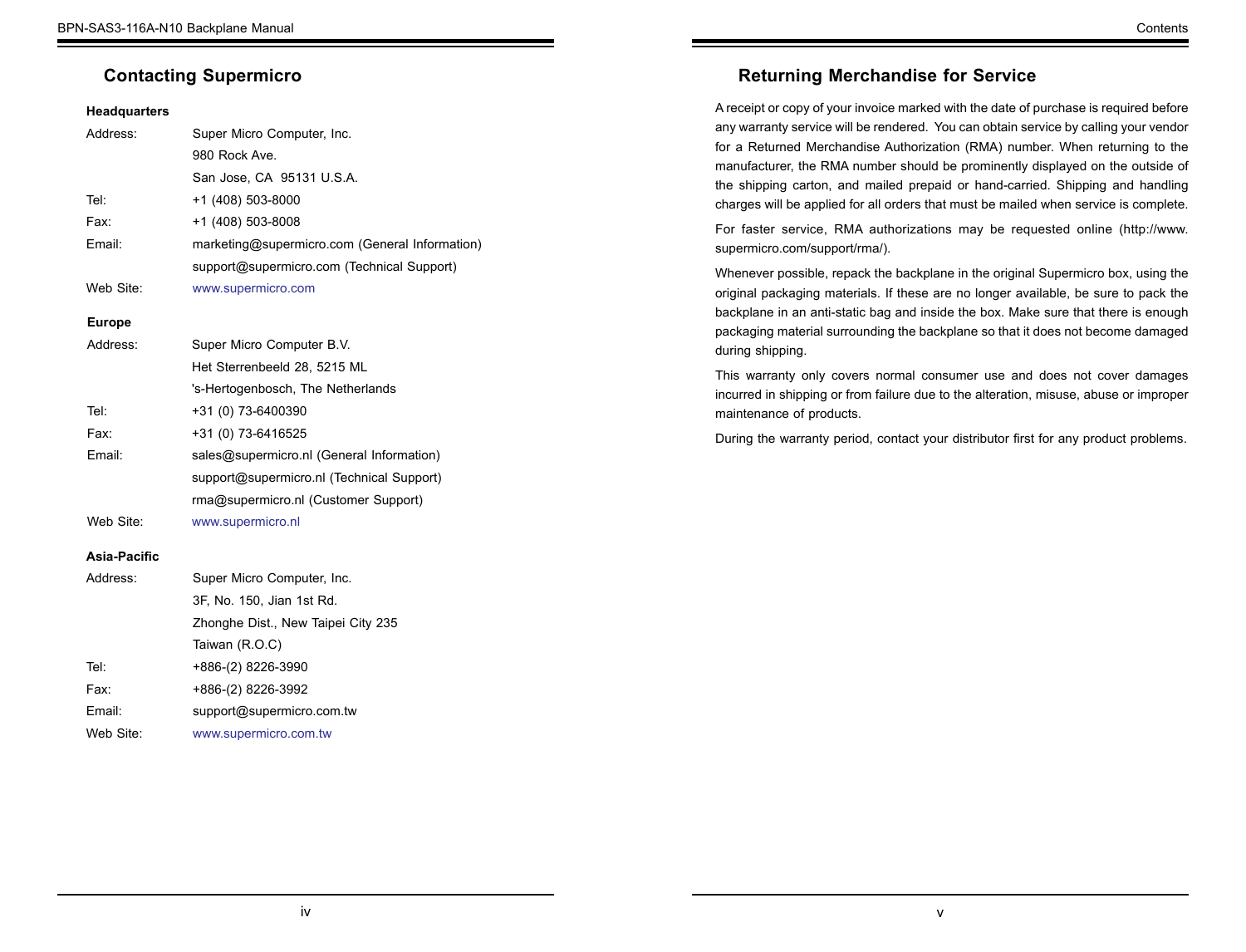### <span id="page-2-0"></span>**Contacting Supermicro**

#### **Headquarters**

| Address:      | Super Micro Computer, Inc.                     |
|---------------|------------------------------------------------|
|               | 980 Rock Ave.                                  |
|               | San Jose, CA 95131 U.S.A.                      |
| Tel:          | +1 (408) 503-8000                              |
| Fax:          | +1 (408) 503-8008                              |
| Email:        | marketing@supermicro.com (General Information) |
|               | support@supermicro.com (Technical Support)     |
| Web Site:     | www.supermicro.com                             |
| <b>Europe</b> |                                                |
| Address:      | Super Micro Computer B.V.                      |
|               | Het Sterrenbeeld 28, 5215 ML                   |
|               | 's-Hertogenbosch, The Netherlands              |
| Tel:          | +31 (0) 73-6400390                             |
| Fax:          | +31 (0) 73-6416525                             |
| Email:        | sales@supermicro.nl (General Information)      |
|               | support@supermicro.nl (Technical Support)      |
|               | rma@supermicro.nl (Customer Support)           |
| Web Site:     | www.supermicro.nl                              |
|               |                                                |

#### **Asia-Pacific**

| Address:  | Super Micro Computer, Inc.         |
|-----------|------------------------------------|
|           | 3F, No. 150, Jian 1st Rd.          |
|           | Zhonghe Dist., New Taipei City 235 |
|           | Taiwan (R.O.C)                     |
| Tel:      | +886-(2) 8226-3990                 |
| Fax:      | +886-(2) 8226-3992                 |
| Email:    | support@supermicro.com.tw          |
| Web Site: | www.supermicro.com.tw              |

## **Returning Merchandise for Service**

A receipt or copy of your invoice marked with the date of purchase is required before any warranty service will be rendered. You can obtain service by calling your vendor for a Returned Merchandise Authorization (RMA) number. When returning to the manufacturer, the RMA number should be prominently displayed on the outside of the shipping carton, and mailed prepaid or hand-carried. Shipping and handling charges will be applied for all orders that must be mailed when service is complete.

For faster service, RMA authorizations may be requested online (http://www. supermicro.com/support/rma/).

Whenever possible, repack the backplane in the original Supermicro box, using the original packaging materials. If these are no longer available, be sure to pack the backplane in an anti-static bag and inside the box. Make sure that there is enough packaging material surrounding the backplane so that it does not become damaged during shipping.

This warranty only covers normal consumer use and does not cover damages incurred in shipping or from failure due to the alteration, misuse, abuse or improper maintenance of products.

During the warranty period, contact your distributor first for any product problems.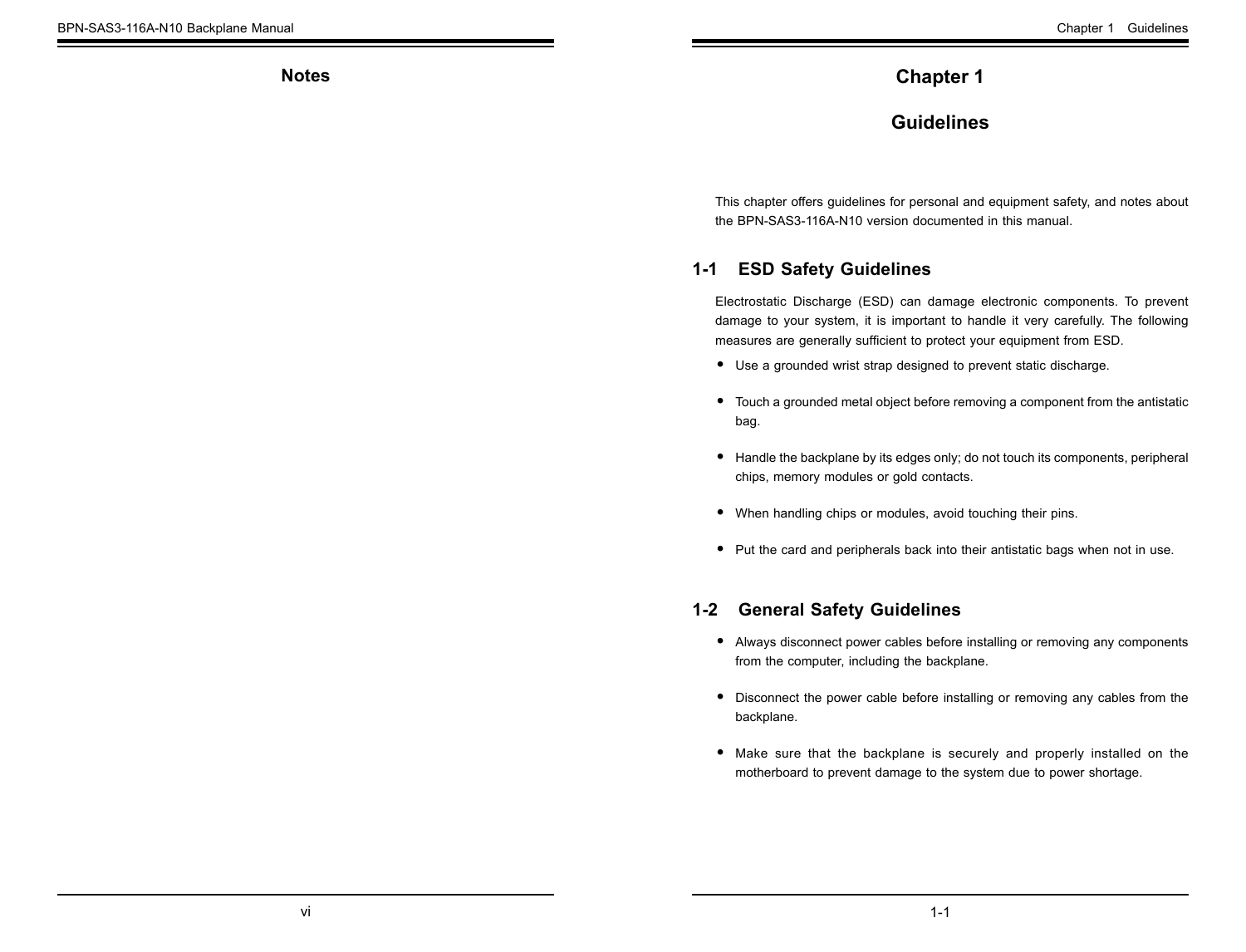<span id="page-3-0"></span>**Notes**

## **Chapter 1**

## **Guidelines**

This chapter offers guidelines for personal and equipment safety, and notes about the BPN-SAS3-116A-N10 version documented in this manual.

## **1-1 ESD Safety Guidelines**

Electrostatic Discharge (ESD) can damage electronic components. To prevent damage to your system, it is important to handle it very carefully. The following measures are generally sufficient to protect your equipment from ESD.

- Use a grounded wrist strap designed to prevent static discharge.
- Touch a grounded metal object before removing a component from the antistatic bag.
- Handle the backplane by its edges only; do not touch its components, peripheral chips, memory modules or gold contacts.
- When handling chips or modules, avoid touching their pins.
- Put the card and peripherals back into their antistatic bags when not in use.

#### **1-2 General Safety Guidelines**

- Always disconnect power cables before installing or removing any components from the computer, including the backplane.
- Disconnect the power cable before installing or removing any cables from the backplane.
- Make sure that the backplane is securely and properly installed on the motherboard to prevent damage to the system due to power shortage.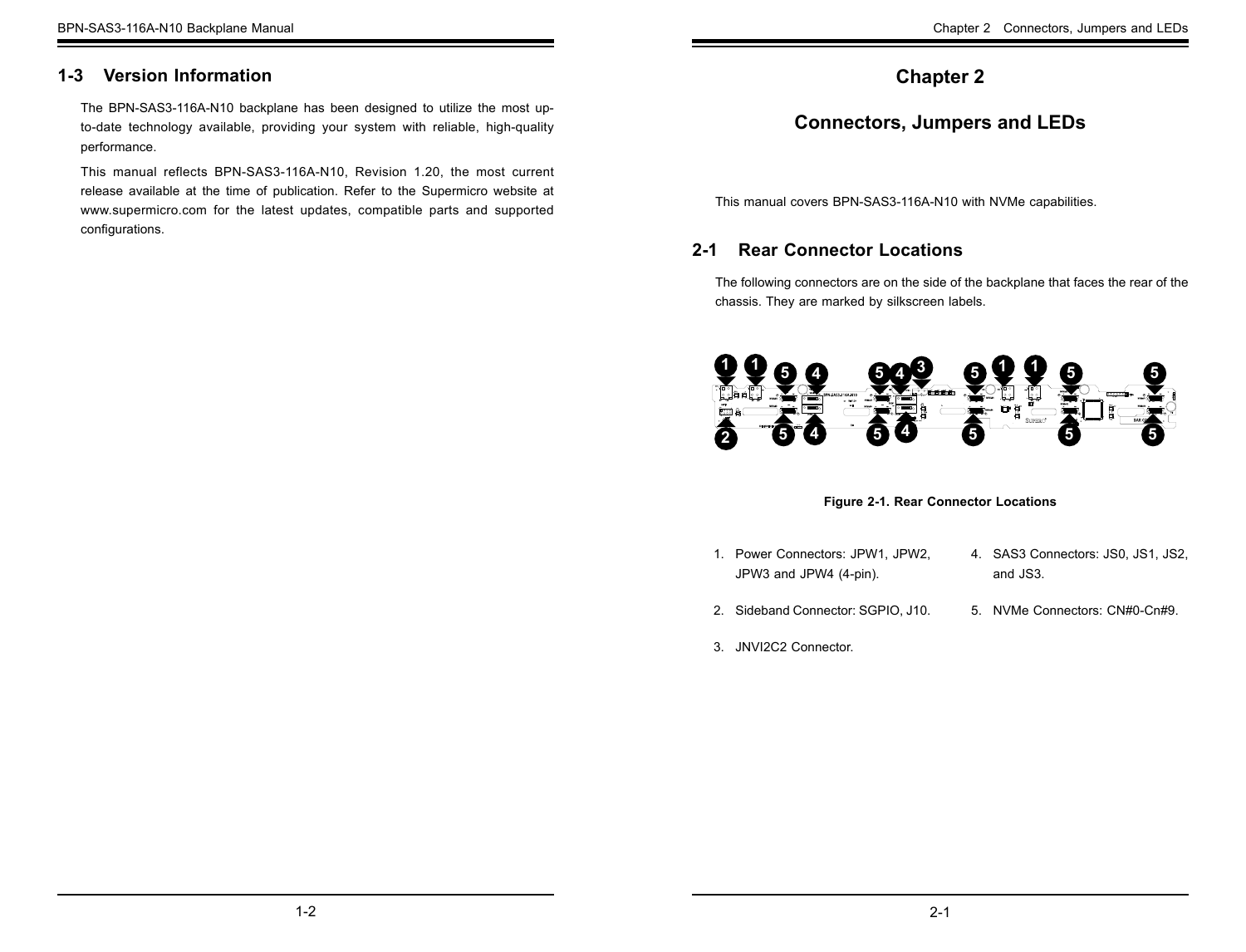## <span id="page-4-0"></span>**1-3 Version Information**

The BPN-SAS3-116A-N10 backplane has been designed to utilize the most upto-date technology available, providing your system with reliable, high-quality performance.

This manual reflects BPN-SAS3-116A-N10, Revision 1.20, the most current release available at the time of publication. Refer to the Supermicro website at www.supermicro.com for the latest updates, compatible parts and supported configurations.

## **Chapter 2**

## **Connectors, Jumpers and LEDs**

This manual covers BPN-SAS3-116A-N10 with NVMe capabilities.

## **2-1 Rear Connector Locations**

The following connectors are on the side of the backplane that faces the rear of the chassis. They are marked by silkscreen labels.



#### **Figure 2-1. Rear Connector Locations**

- 1. Power Connectors: JPW1, JPW2, JPW3 and JPW4 (4-pin).
- 2. Sideband Connector: SGPIO, J10.
- 3. JNVI2C2 Connector.
- 4. SAS3 Connectors: JS0, JS1, JS2, and JS3.
- 5. NVMe Connectors: CN#0-Cn#9.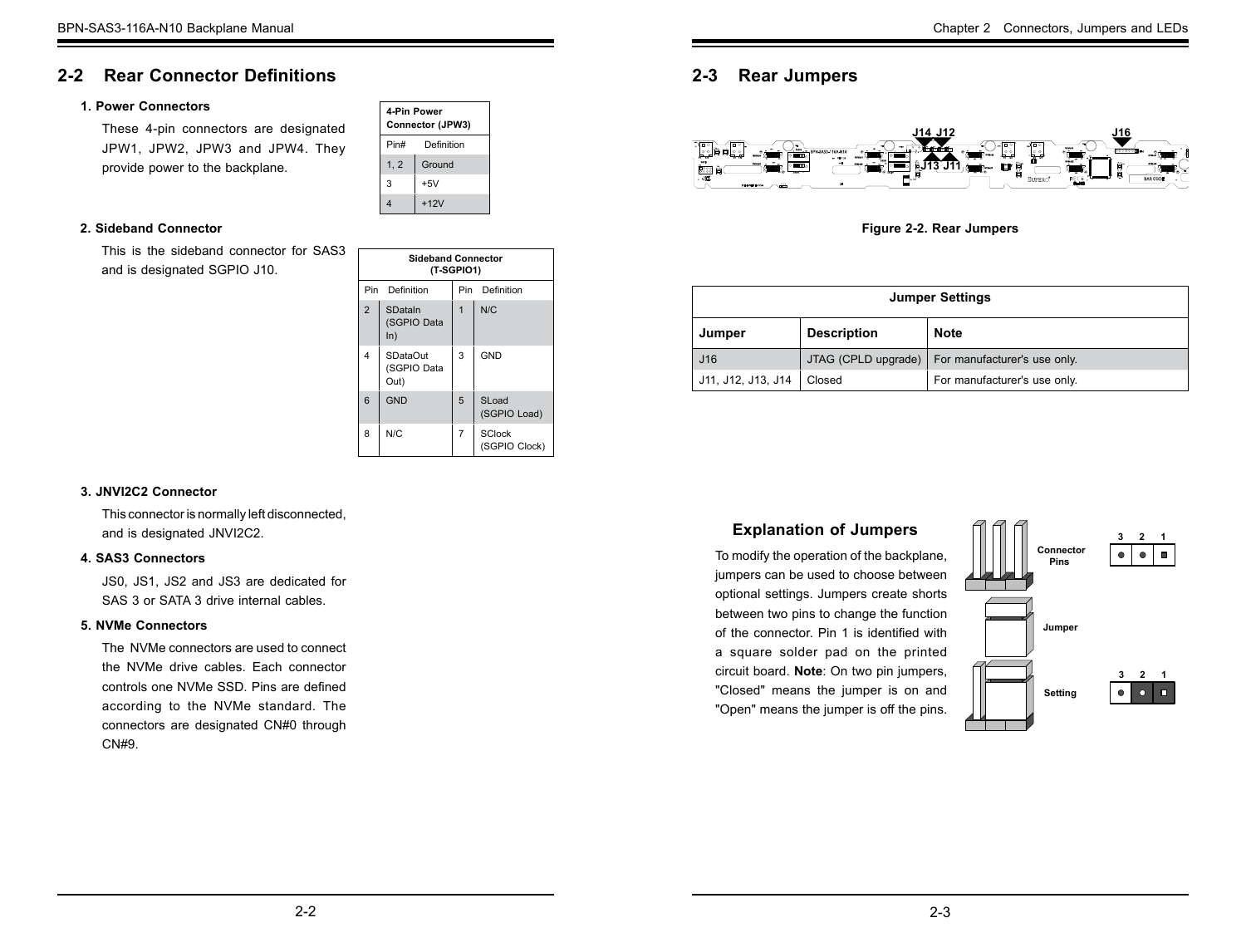## <span id="page-5-0"></span>**2-2 Rear Connector Definitions**

#### **1. Power Connectors**

These 4-pin connectors are designated JPW1, JPW2, JPW3 and JPW4. They provide power to the backplane.

#### **2. Sideband Connector**

This is the sideband connector for SAS3 and is designated SGPIO J10.

| <b>Sideband Connector</b> |                                        |                |                                |
|---------------------------|----------------------------------------|----------------|--------------------------------|
| (T-SGPIO1)                |                                        |                |                                |
| Pin<br>Definition         |                                        | Pin            | Definition                     |
| $\overline{2}$            | SDataIn<br>(SGPIO Data<br>ln)          | $\overline{1}$ | N/C                            |
| 4                         | <b>SDataOut</b><br>(SGPIO Data<br>Out) | 3              | <b>GND</b>                     |
| 6                         | GND                                    | 5              | SLoad<br>(SGPIO Load)          |
| 8                         | N/C                                    | $\overline{7}$ | <b>SClock</b><br>(SGPIO Clock) |

**4-Pin Power Connector (JPW3)** Pin# Definition 1, 2  $|$  Ground  $3 + 5V$ 4 +12V

#### **3. JNVI2C2 Connector**

This connector is normally left disconnected, and is designated JNVI2C2.

#### **4. SAS3 Connectors**

JS0, JS1, JS2 and JS3 are dedicated for SAS 3 or SATA 3 drive internal cables.

#### **5. NVMe Connectors**

The NVMe connectors are used to connect the NVMe drive cables. Each connector controls one NVMe SSD. Pins are defined according to the NVMe standard. The connectors are designated CN#0 through CN#9.

## **2-3 Rear Jumpers**



**Figure 2-2. Rear Jumpers**

| <b>Jumper Settings</b> |                     |                              |
|------------------------|---------------------|------------------------------|
| Jumper                 | <b>Description</b>  | <b>Note</b>                  |
| J16                    | JTAG (CPLD upgrade) | For manufacturer's use only. |
| J11, J12, J13, J14     | Closed              | For manufacturer's use only. |

#### **Explanation of Jumpers**

To modify the operation of the backplane, jumpers can be used to choose between optional settings. Jumpers create shorts between two pins to change the function of the connector. Pin 1 is identified with a square solder pad on the printed circuit board. **Note**: On two pin jumpers, "Closed" means the jumper is on and "Open" means the jumper is off the pins.

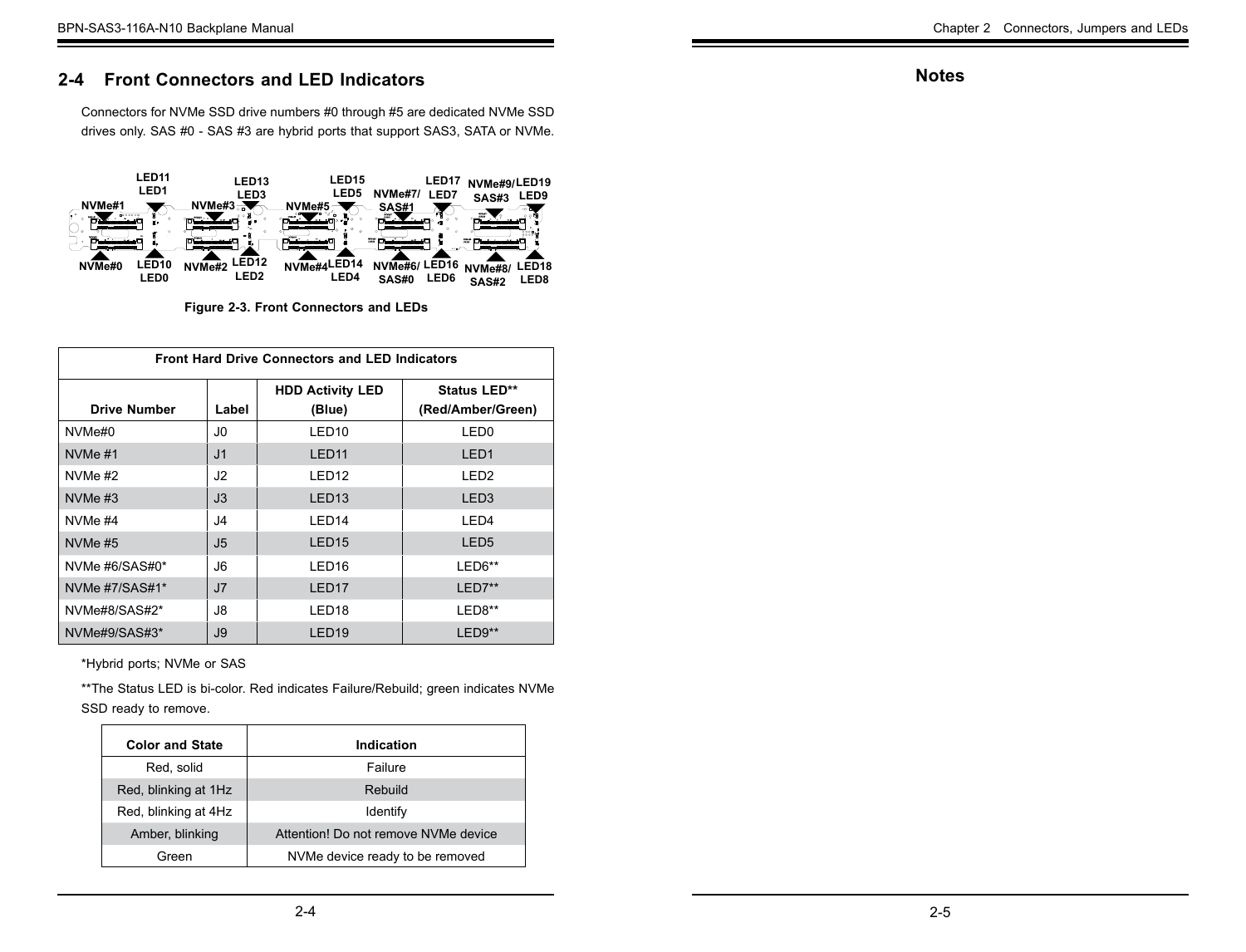## <span id="page-6-0"></span>**2-4 Front Connectors and LED Indicators**

Connectors for NVMe SSD drive numbers #0 through #5 are dedicated NVMe SSD drives only. SAS #0 - SAS #3 are hybrid ports that support SAS3, SATA or NVMe.



**Figure 2-3. Front Connectors and LEDs**

| <b>Front Hard Drive Connectors and LED Indicators</b> |                |                                   |                                   |
|-------------------------------------------------------|----------------|-----------------------------------|-----------------------------------|
| <b>Drive Number</b>                                   | Label          | <b>HDD Activity LED</b><br>(Blue) | Status LED**<br>(Red/Amber/Green) |
| NVMe#0                                                | J <sub>0</sub> | LED <sub>10</sub>                 | LED <sub>0</sub>                  |
| NVMe #1                                               | J <sub>1</sub> | LED <sub>11</sub>                 | LED <sub>1</sub>                  |
| NVMe $#2$                                             | J <sub>2</sub> | LED <sub>12</sub>                 | LED <sub>2</sub>                  |
| NVMe $#3$                                             | J3             | LED <sub>13</sub>                 | LED <sub>3</sub>                  |
| NVMe #4                                               | J <sub>4</sub> | I FD <sub>14</sub>                | LED <sub>4</sub>                  |
| NVMe #5                                               | J5             | LED <sub>15</sub>                 | LED <sub>5</sub>                  |
| NVMe #6/SAS#0*                                        | J6             | LED <sub>16</sub>                 | $LED6**$                          |
| NVMe #7/SAS#1*                                        | J <sub>7</sub> | LED <sub>17</sub>                 | $LED7**$                          |
| NVMe#8/SAS#2*                                         | J8             | LED <sub>18</sub>                 | LED8**                            |
| NVMe#9/SAS#3*                                         | J9             | LED <sub>19</sub>                 | $LED9**$                          |

\*Hybrid ports; NVMe or SAS

\*\*The Status LED is bi-color. Red indicates Failure/Rebuild; green indicates NVMe SSD ready to remove.

|  | <b>Color and State</b> | Indication                           |
|--|------------------------|--------------------------------------|
|  | Red, solid             | Failure                              |
|  | Red, blinking at 1Hz   | Rebuild                              |
|  | Red, blinking at 4Hz   | Identify                             |
|  | Amber, blinking        | Attention! Do not remove NVMe device |
|  | Green                  | NVMe device ready to be removed      |

#### **Notes**